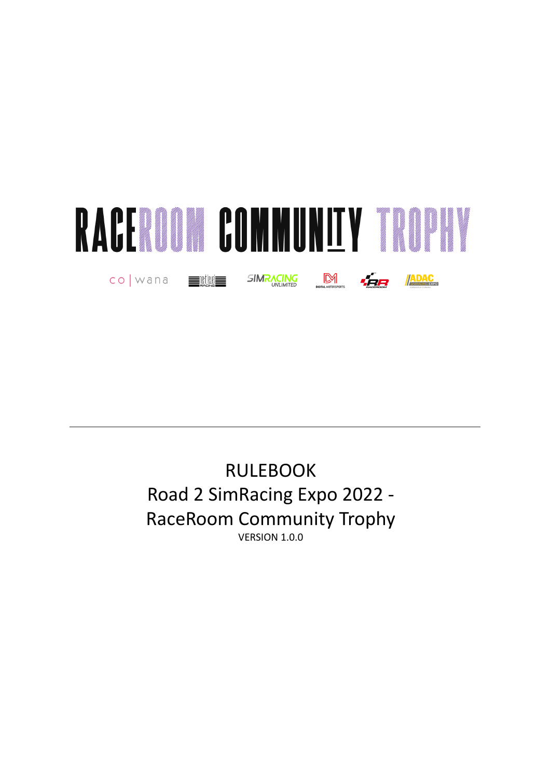

RULEBOOK Road 2 SimRacing Expo 2022 - RaceRoom Community Trophy VERSION 1.0.0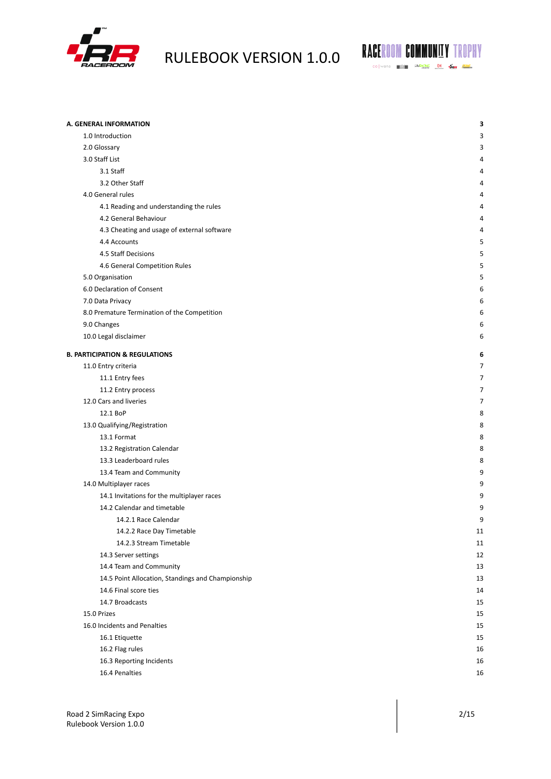



| A. GENERAL INFORMATION                            | 3  |
|---------------------------------------------------|----|
| 1.0 Introduction                                  | 3  |
| 2.0 Glossary                                      | 3  |
| 3.0 Staff List                                    | 4  |
| 3.1 Staff                                         | 4  |
| 3.2 Other Staff                                   | 4  |
| 4.0 General rules                                 | 4  |
| 4.1 Reading and understanding the rules           | 4  |
| 4.2 General Behaviour                             | 4  |
| 4.3 Cheating and usage of external software       | 4  |
| 4.4 Accounts                                      | 5  |
| 4.5 Staff Decisions                               | 5  |
| 4.6 General Competition Rules                     | 5  |
| 5.0 Organisation                                  | 5  |
| 6.0 Declaration of Consent                        | 6  |
| 7.0 Data Privacy                                  | 6  |
| 8.0 Premature Termination of the Competition      | 6  |
| 9.0 Changes                                       | 6  |
| 10.0 Legal disclaimer                             | 6  |
|                                                   |    |
| <b>B. PARTICIPATION &amp; REGULATIONS</b>         | 6  |
| 11.0 Entry criteria                               | 7  |
| 11.1 Entry fees                                   | 7  |
| 11.2 Entry process                                | 7  |
| 12.0 Cars and liveries                            | 7  |
| 12.1 BoP                                          | 8  |
| 13.0 Qualifying/Registration                      | 8  |
| 13.1 Format                                       | 8  |
| 13.2 Registration Calendar                        | 8  |
| 13.3 Leaderboard rules                            | 8  |
| 13.4 Team and Community                           | 9  |
| 14.0 Multiplayer races                            | 9  |
| 14.1 Invitations for the multiplayer races        | 9  |
| 14.2 Calendar and timetable                       | 9  |
| 14.2.1 Race Calendar                              | 9  |
| 14.2.2 Race Day Timetable                         | 11 |
| 14.2.3 Stream Timetable                           | 11 |
| 14.3 Server settings                              | 12 |
| 14.4 Team and Community                           | 13 |
| 14.5 Point Allocation, Standings and Championship | 13 |
| 14.6 Final score ties                             | 14 |
| 14.7 Broadcasts                                   | 15 |
| 15.0 Prizes                                       | 15 |
| 16.0 Incidents and Penalties                      | 15 |
| 16.1 Etiquette                                    | 15 |
| 16.2 Flag rules                                   | 16 |
| 16.3 Reporting Incidents                          | 16 |
| 16.4 Penalties                                    | 16 |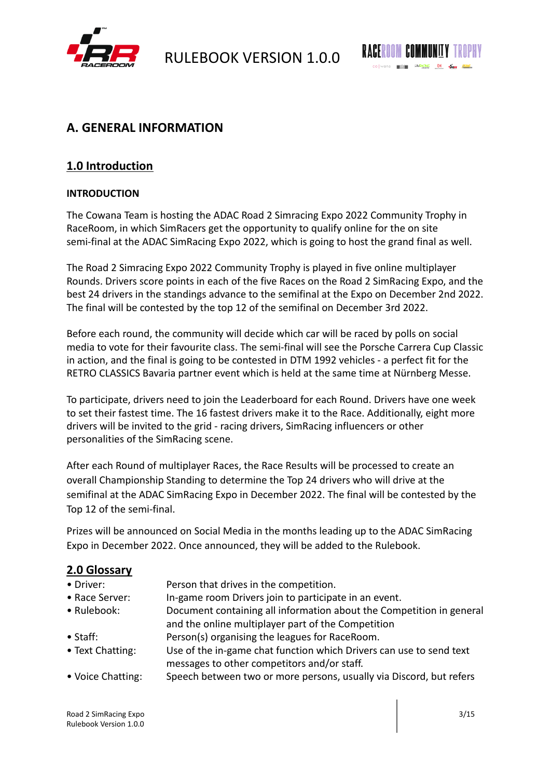



# <span id="page-2-0"></span>**A. GENERAL INFORMATION**

# <span id="page-2-1"></span>**1.0 Introduction**

## **INTRODUCTION**

The Cowana Team is hosting the ADAC Road 2 Simracing Expo 2022 Community Trophy in RaceRoom, in which SimRacers get the opportunity to qualify online for the on site semi-final at the ADAC SimRacing Expo 2022, which is going to host the grand final as well.

The Road 2 Simracing Expo 2022 Community Trophy is played in five online multiplayer Rounds. Drivers score points in each of the five Races on the Road 2 SimRacing Expo, and the best 24 drivers in the standings advance to the semifinal at the Expo on December 2nd 2022. The final will be contested by the top 12 of the semifinal on December 3rd 2022.

Before each round, the community will decide which car will be raced by polls on social media to vote for their favourite class. The semi-final will see the Porsche Carrera Cup Classic in action, and the final is going to be contested in DTM 1992 vehicles - a perfect fit for the RETRO CLASSICS Bavaria partner event which is held at the same time at Nürnberg Messe.

To participate, drivers need to join the Leaderboard for each Round. Drivers have one week to set their fastest time. The 16 fastest drivers make it to the Race. Additionally, eight more drivers will be invited to the grid - racing drivers, SimRacing influencers or other personalities of the SimRacing scene.

After each Round of multiplayer Races, the Race Results will be processed to create an overall Championship Standing to determine the Top 24 drivers who will drive at the semifinal at the ADAC SimRacing Expo in December 2022. The final will be contested by the Top 12 of the semi-final.

Prizes will be announced on Social Media in the months leading up to the ADAC SimRacing Expo in December 2022. Once announced, they will be added to the Rulebook.

# <span id="page-2-2"></span>**2.0 Glossary**

- Driver: Person that drives in the competition.
- Race Server: In-game room Drivers join to participate in an event.
- Rulebook: Document containing all information about the Competition in general and the online multiplayer part of the Competition
- Staff: Person(s) organising the leagues for RaceRoom.
- Text Chatting: Use of the in-game chat function which Drivers can use to send text messages to other competitors and/or staff.
- Voice Chatting: Speech between two or more persons, usually via Discord, but refers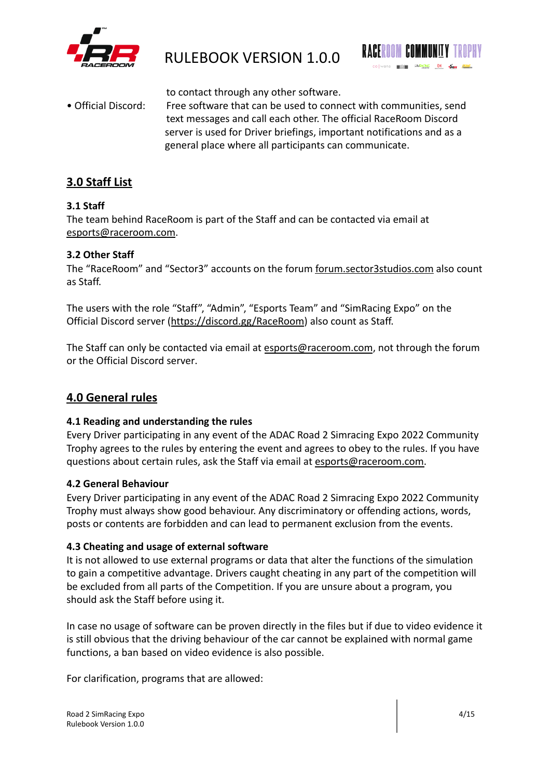



to contact through any other software.

• Official Discord: Free software that can be used to connect with communities, send text messages and call each other. The official RaceRoom Discord server is used for Driver briefings, important notifications and as a general place where all participants can communicate.

# <span id="page-3-0"></span>**3.0 Staff List**

## <span id="page-3-1"></span>**3.1 Staff**

The team behind RaceRoom is part of the Staff and can be contacted via email at [esports@raceroom.com.](mailto:esports@raceroom.com)

## <span id="page-3-2"></span>**3.2 Other Staff**

The "RaceRoom" and "Sector3" accounts on the forum [forum.sector3studios.com](https://forum.sector3studios.com) also count as Staff.

The users with the role "Staff", "Admin", "Esports Team" and "SimRacing Expo" on the Official Discord server (<https://discord.gg/RaceRoom>) also count as Staff.

The Staff can only be contacted via email at [esports@raceroom.com](mailto:esports@raceroom.com), not through the forum or the Official Discord server.

# <span id="page-3-3"></span>**4.0 General rules**

## <span id="page-3-4"></span>**4.1 Reading and understanding the rules**

Every Driver participating in any event of the ADAC Road 2 Simracing Expo 2022 Community Trophy agrees to the rules by entering the event and agrees to obey to the rules. If you have questions about certain rules, ask the Staff via email at [esports@raceroom.com.](mailto:esports@raceroom.com)

## <span id="page-3-5"></span>**4.2 General Behaviour**

Every Driver participating in any event of the ADAC Road 2 Simracing Expo 2022 Community Trophy must always show good behaviour. Any discriminatory or offending actions, words, posts or contents are forbidden and can lead to permanent exclusion from the events.

## <span id="page-3-6"></span>**4.3 Cheating and usage of external software**

It is not allowed to use external programs or data that alter the functions of the simulation to gain a competitive advantage. Drivers caught cheating in any part of the competition will be excluded from all parts of the Competition. If you are unsure about a program, you should ask the Staff before using it.

In case no usage of software can be proven directly in the files but if due to video evidence it is still obvious that the driving behaviour of the car cannot be explained with normal game functions, a ban based on video evidence is also possible.

For clarification, programs that are allowed: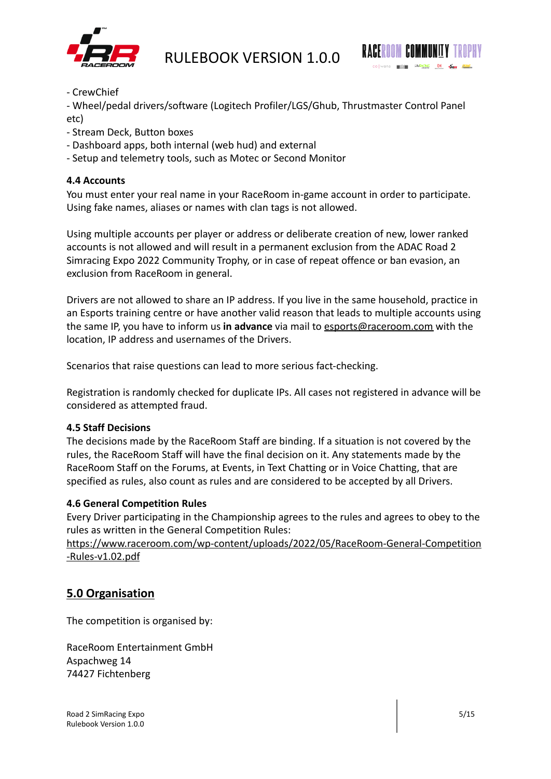



- CrewChief

- Wheel/pedal drivers/software (Logitech Profiler/LGS/Ghub, Thrustmaster Control Panel etc)

- Stream Deck, Button boxes
- Dashboard apps, both internal (web hud) and external
- Setup and telemetry tools, such as Motec or Second Monitor

## <span id="page-4-0"></span>**4.4 Accounts**

You must enter your real name in your RaceRoom in-game account in order to participate. Using fake names, aliases or names with clan tags is not allowed.

Using multiple accounts per player or address or deliberate creation of new, lower ranked accounts is not allowed and will result in a permanent exclusion from the ADAC Road 2 Simracing Expo 2022 Community Trophy, or in case of repeat offence or ban evasion, an exclusion from RaceRoom in general.

Drivers are not allowed to share an IP address. If you live in the same household, practice in an Esports training centre or have another valid reason that leads to multiple accounts using the same IP, you have to inform us **in advance** via mail to [esports@raceroom.com](mailto:esports@raceroom.com) with the location, IP address and usernames of the Drivers.

Scenarios that raise questions can lead to more serious fact-checking.

Registration is randomly checked for duplicate IPs. All cases not registered in advance will be considered as attempted fraud.

## <span id="page-4-1"></span>**4.5 Staff Decisions**

The decisions made by the RaceRoom Staff are binding. If a situation is not covered by the rules, the RaceRoom Staff will have the final decision on it. Any statements made by the RaceRoom Staff on the Forums, at Events, in Text Chatting or in Voice Chatting, that are specified as rules, also count as rules and are considered to be accepted by all Drivers.

## <span id="page-4-2"></span>**4.6 General Competition Rules**

Every Driver participating in the Championship agrees to the rules and agrees to obey to the rules as written in the General Competition Rules:

[https://www.raceroom.com/wp-content/uploads/2022/05/RaceRoom-General-Competition](https://www.raceroom.com/wp-content/uploads/2022/05/RaceRoom-General-Competition-Rules-v1.02.pdf) [-Rules-v1.02.pdf](https://www.raceroom.com/wp-content/uploads/2022/05/RaceRoom-General-Competition-Rules-v1.02.pdf)

# <span id="page-4-3"></span>**5.0 Organisation**

The competition is organised by:

RaceRoom Entertainment GmbH Aspachweg 14 74427 Fichtenberg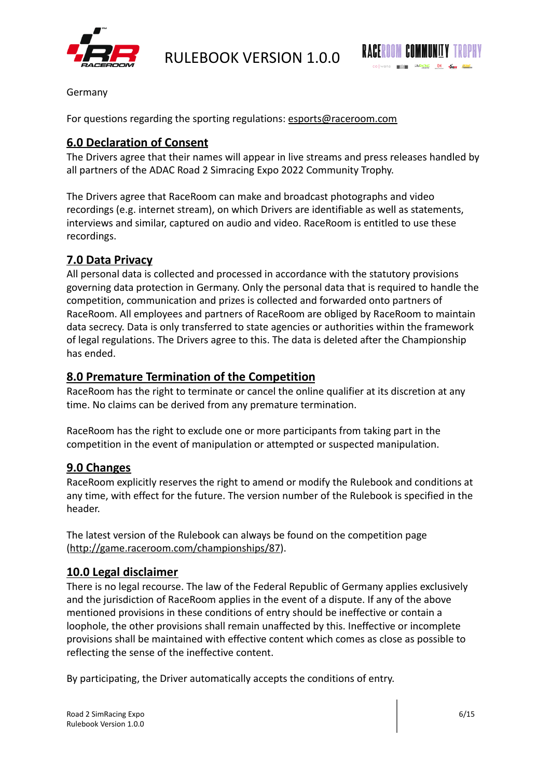



Germany

<span id="page-5-0"></span>For questions regarding the sporting regulations: [esports@raceroom.com](mailto:esports@raceroom.com)

## **6.0 Declaration of Consent**

The Drivers agree that their names will appear in live streams and press releases handled by all partners of the ADAC Road 2 Simracing Expo 2022 Community Trophy.

The Drivers agree that RaceRoom can make and broadcast photographs and video recordings (e.g. internet stream), on which Drivers are identifiable as well as statements, interviews and similar, captured on audio and video. RaceRoom is entitled to use these recordings.

# <span id="page-5-1"></span>**7.0 Data Privacy**

All personal data is collected and processed in accordance with the statutory provisions governing data protection in Germany. Only the personal data that is required to handle the competition, communication and prizes is collected and forwarded onto partners of RaceRoom. All employees and partners of RaceRoom are obliged by RaceRoom to maintain data secrecy. Data is only transferred to state agencies or authorities within the framework of legal regulations. The Drivers agree to this. The data is deleted after the Championship has ended.

## <span id="page-5-2"></span>**8.0 Premature Termination of the Competition**

RaceRoom has the right to terminate or cancel the online qualifier at its discretion at any time. No claims can be derived from any premature termination.

RaceRoom has the right to exclude one or more participants from taking part in the competition in the event of manipulation or attempted or suspected manipulation.

## <span id="page-5-3"></span>**9.0 Changes**

RaceRoom explicitly reserves the right to amend or modify the Rulebook and conditions at any time, with effect for the future. The version number of the Rulebook is specified in the header.

The latest version of the Rulebook can always be found on the competition page ([http://game.raceroom.com/championships/87](https://game.raceroom.com/championships/87)).

## <span id="page-5-4"></span>**10.0 Legal disclaimer**

There is no legal recourse. The law of the Federal Republic of Germany applies exclusively and the jurisdiction of RaceRoom applies in the event of a dispute. If any of the above mentioned provisions in these conditions of entry should be ineffective or contain a loophole, the other provisions shall remain unaffected by this. Ineffective or incomplete provisions shall be maintained with effective content which comes as close as possible to reflecting the sense of the ineffective content.

By participating, the Driver automatically accepts the conditions of entry.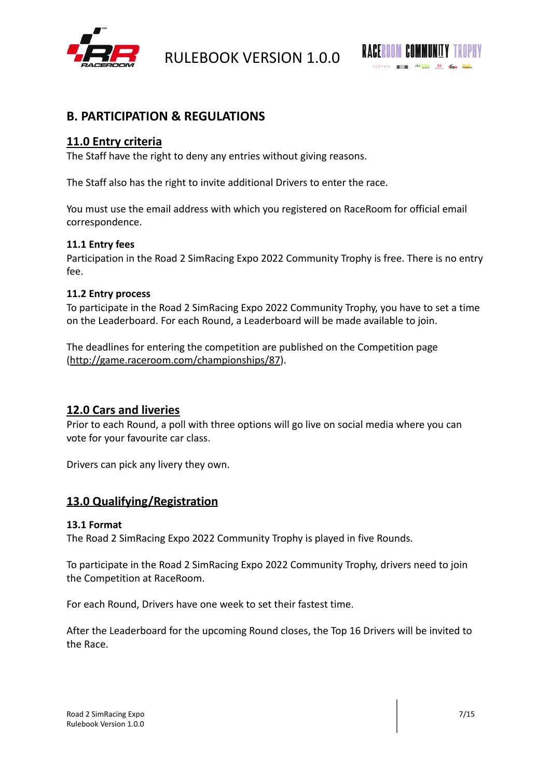



# <span id="page-6-0"></span>**B. PARTICIPATION & REGULATIONS**

# <span id="page-6-1"></span>**11.0 Entry criteria**

The Staff have the right to deny any entries without giving reasons.

The Staff also has the right to invite additional Drivers to enter the race.

You must use the email address with which you registered on RaceRoom for official email correspondence.

## <span id="page-6-2"></span>**11.1 Entry fees**

Participation in the Road 2 SimRacing Expo 2022 Community Trophy is free. There is no entry fee.

## <span id="page-6-3"></span>**11.2 Entry process**

To participate in the Road 2 SimRacing Expo 2022 Community Trophy, you have to set a time on the Leaderboard. For each Round, a Leaderboard will be made available to join.

The deadlines for entering the competition are published on the Competition page ([http://game.raceroom.com/championships/87](https://game.raceroom.com/championships/87)).

## <span id="page-6-4"></span>**12.0 Cars and liveries**

Prior to each Round, a poll with three options will go live on social media where you can vote for your favourite car class.

Drivers can pick any livery they own.

# <span id="page-6-5"></span>**13.0 Qualifying/Registration**

## <span id="page-6-6"></span>**13.1 Format**

The Road 2 SimRacing Expo 2022 Community Trophy is played in five Rounds.

To participate in the Road 2 SimRacing Expo 2022 Community Trophy, drivers need to join the Competition at RaceRoom.

For each Round, Drivers have one week to set their fastest time.

After the Leaderboard for the upcoming Round closes, the Top 16 Drivers will be invited to the Race.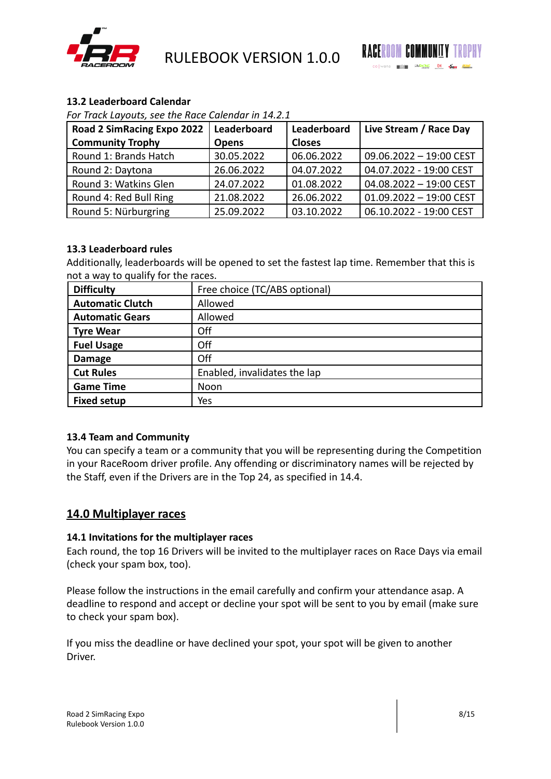



## <span id="page-7-0"></span>**13.2 Leaderboard Calendar**

*For Track Layouts, see the Race Calendar in 14.2.1*

| <b>Road 2 SimRacing Expo 2022</b> | Leaderboard  | Leaderboard   | Live Stream / Race Day    |
|-----------------------------------|--------------|---------------|---------------------------|
| <b>Community Trophy</b>           | <b>Opens</b> | <b>Closes</b> |                           |
| Round 1: Brands Hatch             | 30.05.2022   | 06.06.2022    | 09.06.2022 - 19:00 CEST   |
| Round 2: Daytona                  | 26.06.2022   | 04.07.2022    | 04.07.2022 - 19:00 CEST   |
| Round 3: Watkins Glen             | 24.07.2022   | 01.08.2022    | 04.08.2022 - 19:00 CEST   |
| Round 4: Red Bull Ring            | 21.08.2022   | 26.06.2022    | $01.09.2022 - 19:00$ CEST |
| Round 5: Nürburgring              | 25.09.2022   | 03.10.2022    | 06.10.2022 - 19:00 CEST   |

## <span id="page-7-1"></span>**13.3 Leaderboard rules**

Additionally, leaderboards will be opened to set the fastest lap time. Remember that this is not a way to qualify for the races.

| <b>Difficulty</b>       | Free choice (TC/ABS optional) |  |
|-------------------------|-------------------------------|--|
| <b>Automatic Clutch</b> | Allowed                       |  |
| <b>Automatic Gears</b>  | Allowed                       |  |
| <b>Tyre Wear</b>        | Off                           |  |
| <b>Fuel Usage</b>       | Off                           |  |
| <b>Damage</b>           | Off                           |  |
| <b>Cut Rules</b>        | Enabled, invalidates the lap  |  |
| <b>Game Time</b>        | Noon                          |  |
| <b>Fixed setup</b>      | Yes                           |  |

## <span id="page-7-2"></span>**13.4 Team and Community**

You can specify a team or a community that you will be representing during the Competition in your RaceRoom driver profile. Any offending or discriminatory names will be rejected by the Staff, even if the Drivers are in the Top 24, as specified in 14.4.

## <span id="page-7-3"></span>**14.0 Multiplayer races**

#### <span id="page-7-4"></span>**14.1 Invitations for the multiplayer races**

Each round, the top 16 Drivers will be invited to the multiplayer races on Race Days via email (check your spam box, too).

Please follow the instructions in the email carefully and confirm your attendance asap. A deadline to respond and accept or decline your spot will be sent to you by email (make sure to check your spam box).

If you miss the deadline or have declined your spot, your spot will be given to another Driver.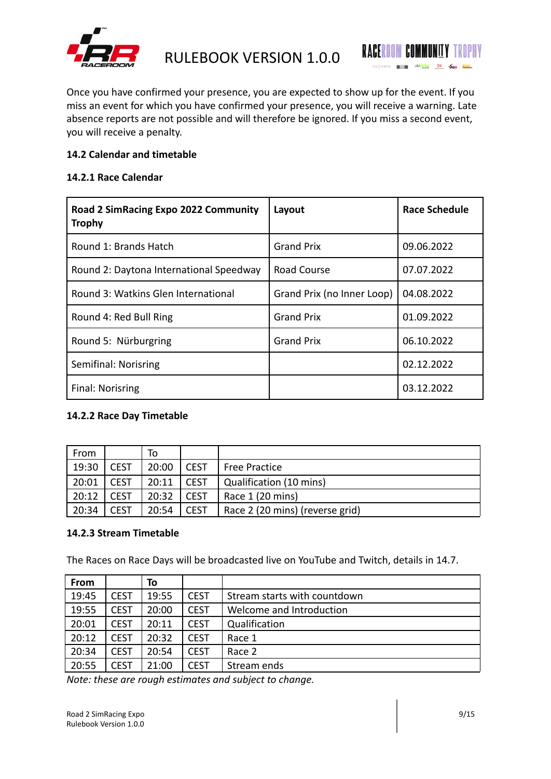



Once you have confirmed your presence, you are expected to show up for the event. If you miss an event for which you have confirmed your presence, you will receive a warning. Late absence reports are not possible and will therefore be ignored. If you miss a second event, you will receive a penalty.

## <span id="page-8-0"></span>**14.2 Calendar and timetable**

## <span id="page-8-1"></span>**14.2.1 Race Calendar**

| Road 2 SimRacing Expo 2022 Community<br><b>Trophy</b> | Layout                     | <b>Race Schedule</b> |
|-------------------------------------------------------|----------------------------|----------------------|
| Round 1: Brands Hatch                                 | <b>Grand Prix</b>          | 09.06.2022           |
| Round 2: Daytona International Speedway               | <b>Road Course</b>         | 07.07.2022           |
| Round 3: Watkins Glen International                   | Grand Prix (no Inner Loop) | 04.08.2022           |
| Round 4: Red Bull Ring                                | <b>Grand Prix</b>          | 01.09.2022           |
| Round 5: Nürburgring                                  | <b>Grand Prix</b>          | 06.10.2022           |
| Semifinal: Norisring                                  |                            | 02.12.2022           |
| Final: Norisring                                      |                            | 03.12.2022           |

## <span id="page-8-2"></span>**14.2.2 Race Day Timetable**

| From  |             | То    |             |                                 |
|-------|-------------|-------|-------------|---------------------------------|
| 19:30 | <b>CEST</b> | 20:00 | <b>CEST</b> | <b>Free Practice</b>            |
| 20:01 | <b>CEST</b> | 20:11 | <b>CEST</b> | Qualification (10 mins)         |
| 20:12 | <b>CEST</b> | 20:32 | <b>CEST</b> | Race 1 (20 mins)                |
| 20:34 | <b>CEST</b> | 20:54 | <b>CEST</b> | Race 2 (20 mins) (reverse grid) |

## <span id="page-8-3"></span>**14.2.3 Stream Timetable**

The Races on Race Days will be broadcasted live on YouTube and Twitch, details in 14.7.

| From  |             | To    |             |                              |
|-------|-------------|-------|-------------|------------------------------|
| 19:45 | <b>CEST</b> | 19:55 | <b>CEST</b> | Stream starts with countdown |
| 19:55 | <b>CEST</b> | 20:00 | <b>CEST</b> | Welcome and Introduction     |
| 20:01 | <b>CEST</b> | 20:11 | <b>CEST</b> | Qualification                |
| 20:12 | <b>CEST</b> | 20:32 | <b>CEST</b> | Race 1                       |
| 20:34 | <b>CEST</b> | 20:54 | <b>CEST</b> | Race 2                       |
| 20:55 | CEST        | 21:00 | <b>CEST</b> | Stream ends                  |

*Note: these are rough estimates and subject to change.*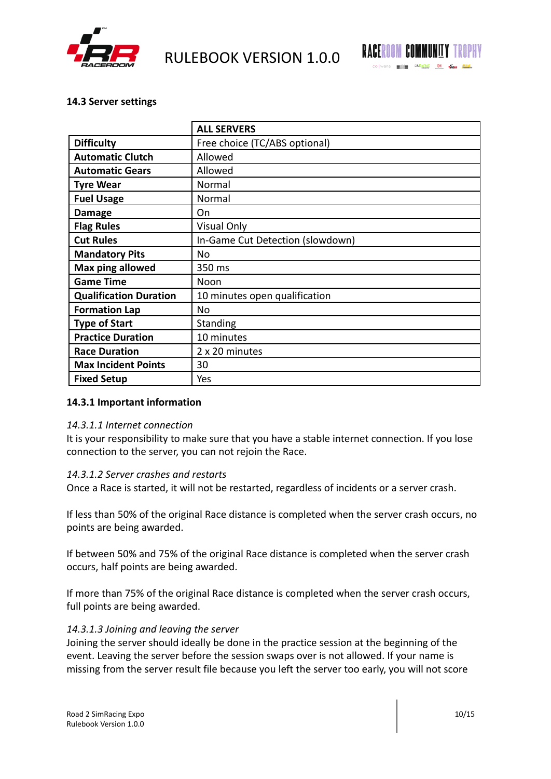



## <span id="page-9-0"></span>**14.3 Server settings**

|                               | <b>ALL SERVERS</b>               |
|-------------------------------|----------------------------------|
| <b>Difficulty</b>             | Free choice (TC/ABS optional)    |
| <b>Automatic Clutch</b>       | Allowed                          |
| <b>Automatic Gears</b>        | Allowed                          |
| <b>Tyre Wear</b>              | Normal                           |
| <b>Fuel Usage</b>             | Normal                           |
| <b>Damage</b>                 | On                               |
| <b>Flag Rules</b>             | Visual Only                      |
| <b>Cut Rules</b>              | In-Game Cut Detection (slowdown) |
| <b>Mandatory Pits</b>         | No                               |
| Max ping allowed              | 350 ms                           |
| <b>Game Time</b>              | Noon                             |
| <b>Qualification Duration</b> | 10 minutes open qualification    |
| <b>Formation Lap</b>          | No                               |
| <b>Type of Start</b>          | Standing                         |
| <b>Practice Duration</b>      | 10 minutes                       |
| <b>Race Duration</b>          | 2 x 20 minutes                   |
| <b>Max Incident Points</b>    | 30                               |
| <b>Fixed Setup</b>            | Yes                              |

## **14.3.1 Important information**

#### *14.3.1.1 Internet connection*

It is your responsibility to make sure that you have a stable internet connection. If you lose connection to the server, you can not rejoin the Race.

## *14.3.1.2 Server crashes and restarts*

Once a Race is started, it will not be restarted, regardless of incidents or a server crash.

If less than 50% of the original Race distance is completed when the server crash occurs, no points are being awarded.

If between 50% and 75% of the original Race distance is completed when the server crash occurs, half points are being awarded.

If more than 75% of the original Race distance is completed when the server crash occurs, full points are being awarded.

## *14.3.1.3 Joining and leaving the server*

Joining the server should ideally be done in the practice session at the beginning of the event. Leaving the server before the session swaps over is not allowed. If your name is missing from the server result file because you left the server too early, you will not score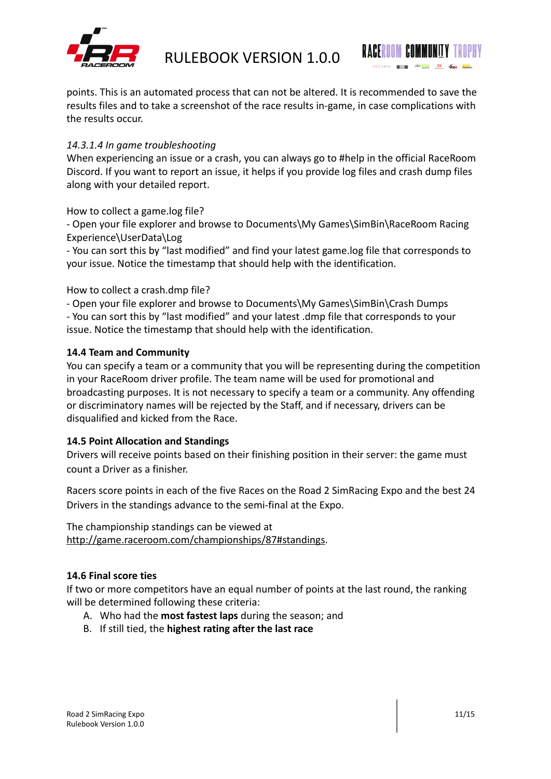



points. This is an automated process that can not be altered. It is recommended to save the results files and to take a screenshot of the race results in-game, in case complications with the results occur.

## *14.3.1.4 In game troubleshooting*

When experiencing an issue or a crash, you can always go to #help in the official RaceRoom Discord. If you want to report an issue, it helps if you provide log files and crash dump files along with your detailed report.

How to collect a game.log file?

- Open your file explorer and browse to Documents\My Games\SimBin\RaceRoom Racing Experience\UserData\Log

- You can sort this by "last modified" and find your latest game.log file that corresponds to your issue. Notice the timestamp that should help with the identification.

How to collect a crash.dmp file?

- Open your file explorer and browse to Documents\My Games\SimBin\Crash Dumps

- You can sort this by "last modified" and your latest .dmp file that corresponds to your issue. Notice the timestamp that should help with the identification.

## <span id="page-10-0"></span>**14.4 Team and Community**

You can specify a team or a community that you will be representing during the competition in your RaceRoom driver profile. The team name will be used for promotional and broadcasting purposes. It is not necessary to specify a team or a community. Any offending or discriminatory names will be rejected by the Staff, and if necessary, drivers can be disqualified and kicked from the Race.

## <span id="page-10-1"></span>**14.5 Point Allocation and Standings**

Drivers will receive points based on their finishing position in their server: the game must count a Driver as a finisher.

Racers score points in each of the five Races on the Road 2 SimRacing Expo and the best 24 Drivers in the standings advance to the semi-final at the Expo.

The championship standings can be viewed at [http://game.raceroom.com/championships/87#standings.](http://game.raceroom.com/championships/87#standings)

## <span id="page-10-2"></span>**14.6 Final score ties**

If two or more competitors have an equal number of points at the last round, the ranking will be determined following these criteria:

- A. Who had the **most fastest laps** during the season; and
- B. If still tied, the **highest rating after the last race**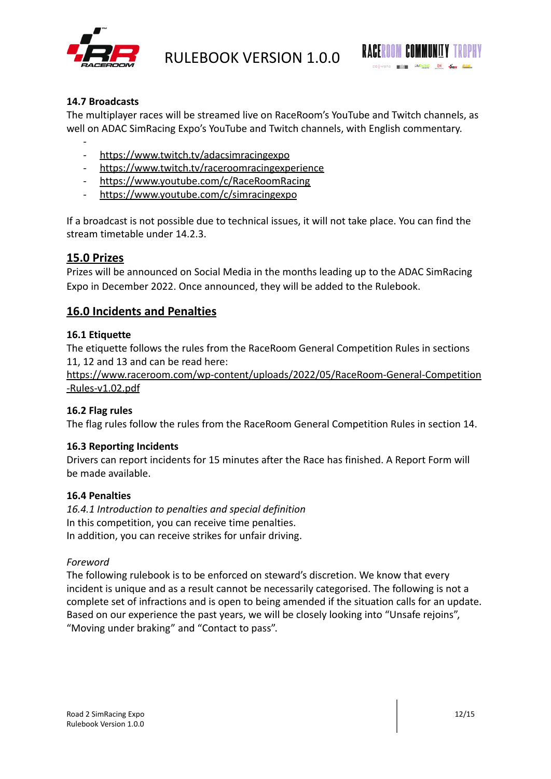



## <span id="page-11-0"></span>**14.7 Broadcasts**

The multiplayer races will be streamed live on RaceRoom's YouTube and Twitch channels, as well on ADAC SimRacing Expo's YouTube and Twitch channels, with English commentary.

- - <https://www.twitch.tv/adacsimracingexpo>
- [https://www.twitch.tv/raceroomracingexperience](https://twitch.tv/raceroomracingexperience)
- <https://www.youtube.com/c/RaceRoomRacing>
- https://www.youtube.com/c/simracingexpo

If a broadcast is not possible due to technical issues, it will not take place. You can find the stream timetable under 14.2.3.

## <span id="page-11-1"></span>**15.0 Prizes**

Prizes will be announced on Social Media in the months leading up to the ADAC SimRacing Expo in December 2022. Once announced, they will be added to the Rulebook.

## <span id="page-11-2"></span>**16.0 Incidents and Penalties**

## <span id="page-11-3"></span>**16.1 Etiquette**

The etiquette follows the rules from the RaceRoom General Competition Rules in sections 11, 12 and 13 and can be read here:

[https://www.raceroom.com/wp-content/uploads/2022/05/RaceRoom-General-Competition](https://www.raceroom.com/wp-content/uploads/2022/05/RaceRoom-General-Competition-Rules-v1.02.pdf) [-Rules-v1.02.pdf](https://www.raceroom.com/wp-content/uploads/2022/05/RaceRoom-General-Competition-Rules-v1.02.pdf)

## <span id="page-11-4"></span>**16.2 Flag rules**

<span id="page-11-5"></span>The flag rules follow the rules from the RaceRoom General Competition Rules in section 14.

## **16.3 Reporting Incidents**

Drivers can report incidents for 15 minutes after the Race has finished. A Report Form will be made available.

#### <span id="page-11-6"></span>**16.4 Penalties**

*16.4.1 Introduction to penalties and special definition* In this competition, you can receive time penalties. In addition, you can receive strikes for unfair driving.

#### *Foreword*

The following rulebook is to be enforced on steward's discretion. We know that every incident is unique and as a result cannot be necessarily categorised. The following is not a complete set of infractions and is open to being amended if the situation calls for an update. Based on our experience the past years, we will be closely looking into "Unsafe rejoins", "Moving under braking" and "Contact to pass".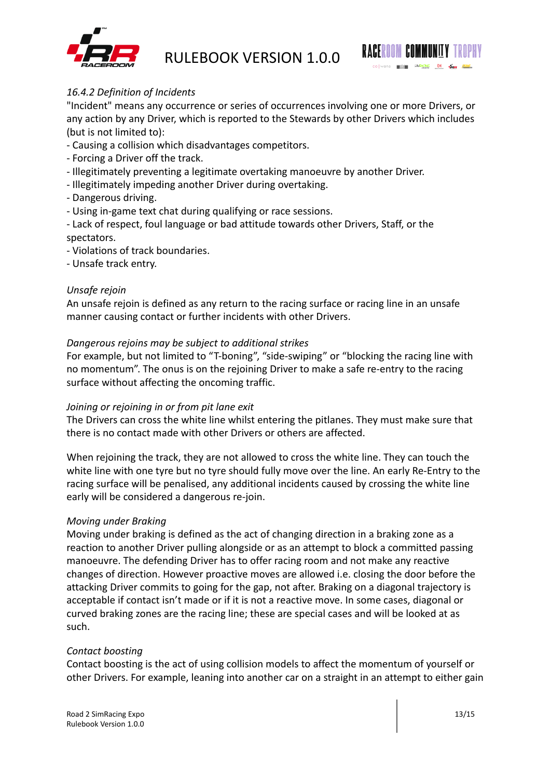



## *16.4.2 Definition of Incidents*

"Incident" means any occurrence or series of occurrences involving one or more Drivers, or any action by any Driver, which is reported to the Stewards by other Drivers which includes (but is not limited to):

- Causing a collision which disadvantages competitors.
- Forcing a Driver off the track.
- Illegitimately preventing a legitimate overtaking manoeuvre by another Driver.
- Illegitimately impeding another Driver during overtaking.
- Dangerous driving.
- Using in-game text chat during qualifying or race sessions.
- Lack of respect, foul language or bad attitude towards other Drivers, Staff, or the spectators.
- Violations of track boundaries.
- Unsafe track entry.

## *Unsafe rejoin*

An unsafe rejoin is defined as any return to the racing surface or racing line in an unsafe manner causing contact or further incidents with other Drivers.

## *Dangerous rejoins may be subject to additional strikes*

For example, but not limited to "T-boning", "side-swiping" or "blocking the racing line with no momentum". The onus is on the rejoining Driver to make a safe re-entry to the racing surface without affecting the oncoming traffic.

## *Joining or rejoining in or from pit lane exit*

The Drivers can cross the white line whilst entering the pitlanes. They must make sure that there is no contact made with other Drivers or others are affected.

When rejoining the track, they are not allowed to cross the white line. They can touch the white line with one tyre but no tyre should fully move over the line. An early Re-Entry to the racing surface will be penalised, any additional incidents caused by crossing the white line early will be considered a dangerous re-join.

## *Moving under Braking*

Moving under braking is defined as the act of changing direction in a braking zone as a reaction to another Driver pulling alongside or as an attempt to block a committed passing manoeuvre. The defending Driver has to offer racing room and not make any reactive changes of direction. However proactive moves are allowed i.e. closing the door before the attacking Driver commits to going for the gap, not after. Braking on a diagonal trajectory is acceptable if contact isn't made or if it is not a reactive move. In some cases, diagonal or curved braking zones are the racing line; these are special cases and will be looked at as such.

## *Contact boosting*

Contact boosting is the act of using collision models to affect the momentum of yourself or other Drivers. For example, leaning into another car on a straight in an attempt to either gain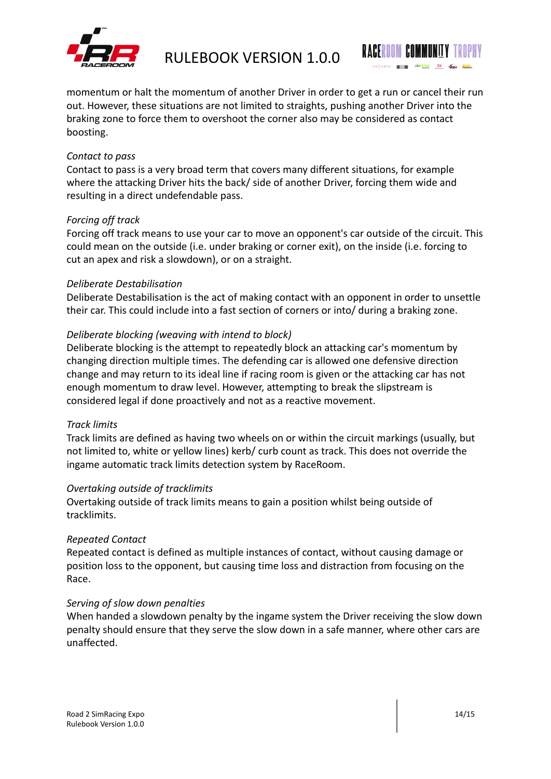



momentum or halt the momentum of another Driver in order to get a run or cancel their run out. However, these situations are not limited to straights, pushing another Driver into the braking zone to force them to overshoot the corner also may be considered as contact boosting.

## *Contact to pass*

Contact to pass is a very broad term that covers many different situations, for example where the attacking Driver hits the back/ side of another Driver, forcing them wide and resulting in a direct undefendable pass.

## *Forcing off track*

Forcing off track means to use your car to move an opponent's car outside of the circuit. This could mean on the outside (i.e. under braking or corner exit), on the inside (i.e. forcing to cut an apex and risk a slowdown), or on a straight.

## *Deliberate Destabilisation*

Deliberate Destabilisation is the act of making contact with an opponent in order to unsettle their car. This could include into a fast section of corners or into/ during a braking zone.

## *Deliberate blocking (weaving with intend to block)*

Deliberate blocking is the attempt to repeatedly block an attacking car's momentum by changing direction multiple times. The defending car is allowed one defensive direction change and may return to its ideal line if racing room is given or the attacking car has not enough momentum to draw level. However, attempting to break the slipstream is considered legal if done proactively and not as a reactive movement.

## *Track limits*

Track limits are defined as having two wheels on or within the circuit markings (usually, but not limited to, white or yellow lines) kerb/ curb count as track. This does not override the ingame automatic track limits detection system by RaceRoom.

## *Overtaking outside of tracklimits*

Overtaking outside of track limits means to gain a position whilst being outside of tracklimits.

## *Repeated Contact*

Repeated contact is defined as multiple instances of contact, without causing damage or position loss to the opponent, but causing time loss and distraction from focusing on the Race.

## *Serving of slow down penalties*

When handed a slowdown penalty by the ingame system the Driver receiving the slow down penalty should ensure that they serve the slow down in a safe manner, where other cars are unaffected.